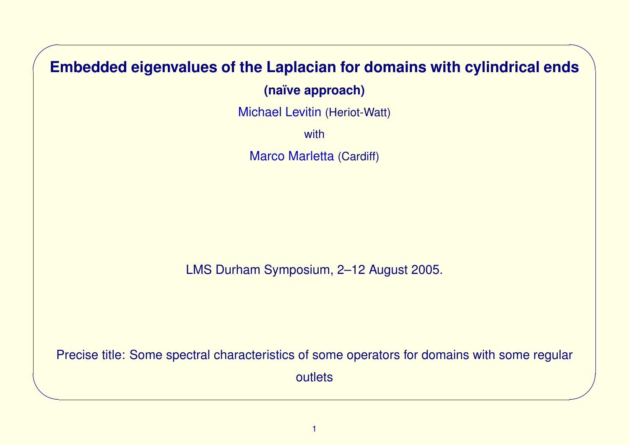# **Embedded eigenvalues of the Laplacian for domains with cylindrical ends**

✬

 $\overline{\phantom{a}}$ 

**(na¨ıve approach)**

Michael Levitin (Heriot-Watt)

with

Marco Marletta (Cardiff)

LMS Durham Symposium, 2–12 August 2005.

Precise title: Some spectral characteristics of some operators for domains with some regular outlets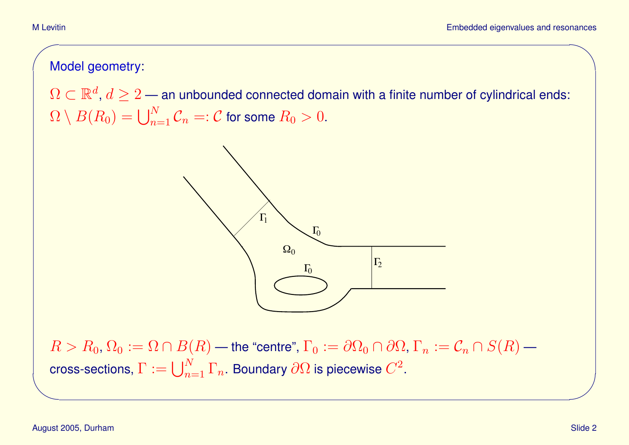# Model geometry:

 $\Omega \subset \mathbb{R}^d$ ,  $d \geq 2$  — an unbounded connected domain with a finite number of cylindrical ends:  $\Omega \setminus B(R_0) = \bigcup_{n=1}^N \mathcal{C}_n =: \mathcal{C}$  for some  $R_0 > 0.$ 



 $R > R_0, \Omega_0 := \Omega \cap B(R)$  — the "centre",  $\Gamma_0 := \partial \Omega_0 \cap \partial \Omega$ ,  $\Gamma_n := \mathcal{C}_n \cap S(R)$  cross-sections,  $\Gamma:=\bigcup_{n=1}^N\Gamma_n.$  Boundary  $\partial\Omega$  is piecewise  $C^2.$ 

✬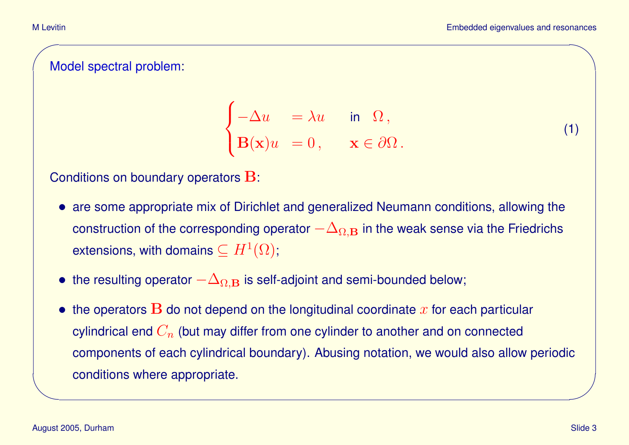### Model spectral problem:

$$
\begin{cases}\n-\Delta u &= \lambda u & \text{in } \Omega, \\
\mathbf{B}(\mathbf{x})u &= 0, & \mathbf{x} \in \partial\Omega.\n\end{cases}
$$

(1)

#### Conditions on boundary operators B:

- are some appropriate mix of Dirichlet and generalized Neumann conditions, allowing the construction of the corresponding operator  $-\Delta_{\Omega,\mathbf{B}}$  in the weak sense via the Friedrichs extensions, with domains  $\subseteq H^1(\Omega);$
- the resulting operator  $-\Delta_{\Omega,\mathbf{B}}$  is self-adjoint and semi-bounded below;
- the operators  $\bf{B}$  do not depend on the longitudinal coordinate  $x$  for each particular cylindrical end  $C_n$  (but may differ from one cylinder to another and on connected components of each cylindrical boundary). Abusing notation, we would also allow periodic conditions where appropriate.

 $\overline{\phantom{a}}$ 

✬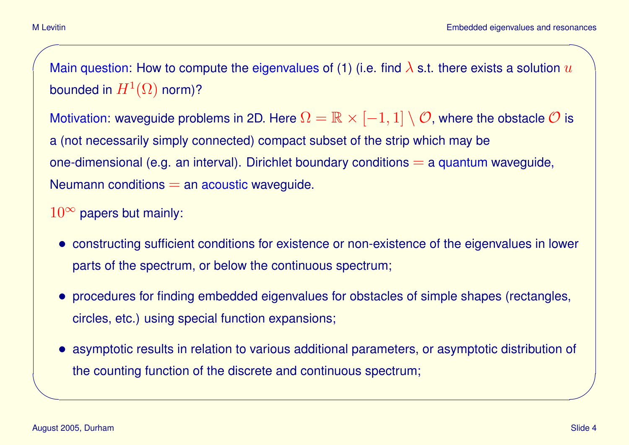Main question: How to compute the eigenvalues of (1) (i.e. find  $\lambda$  s.t. there exists a solution  $u$ bounded in  $H^1(\Omega)$  norm)?

Motivation: waveguide problems in 2D. Here  $\Omega = \mathbb{R} \times [-1,1] \setminus \mathcal{O}$ , where the obstacle  $\mathcal O$  is a (not necessarily simply connected) compact subset of the strip which may be one-dimensional (e.g. an interval). Dirichlet boundary conditions  $=$  a quantum waveguide, Neumann conditions  $=$  an acoustic waveguide.

- $10^{\infty}$  papers but mainly:
	- constructing sufficient conditions for existence or non-existence of the eigenvalues in lower parts of the spectrum, or below the continuous spectrum;
	- procedures for finding embedded eigenvalues for obstacles of simple shapes (rectangles, circles, etc.) using special function expansions;
	- asymptotic results in relation to various additional parameters, or asymptotic distribution of the counting function of the discrete and continuous spectrum;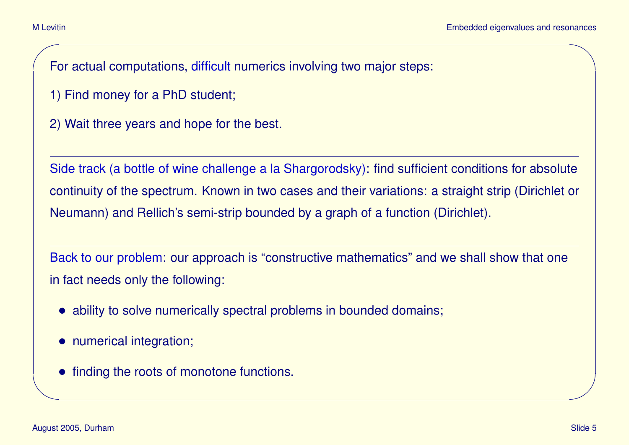For actual computations, difficult numerics involving two major steps:

- 1) Find money for a PhD student;
- 2) Wait three years and hope for the best.

Side track (a bottle of wine challenge a la Shargorodsky): find sufficient conditions for absolute continuity of the spectrum. Known in two cases and their variations: a straight strip (Dirichlet or Neumann) and Rellich's semi-strip bounded by a graph of a function (Dirichlet).

Back to our problem: our approach is "constructive mathematics" and we shall show that one in fact needs only the following:

- ability to solve numerically spectral problems in bounded domains;
- numerical integration;
- finding the roots of monotone functions.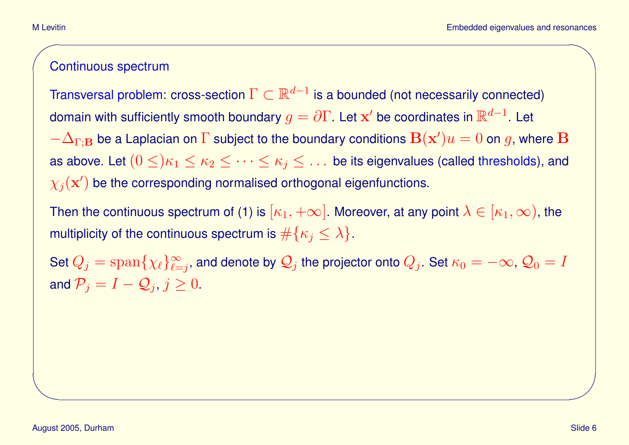#### Continuous spectrum

Transversal problem: cross-section  $\Gamma \subset \mathbb{R}^{d-1}$  is a bounded (not necessarily connected) domain with sufficiently smooth boundary  $g=\partial\Gamma.$  Let  ${\bf x}'$  be coordinates in  $\mathbb{R}^{d-1}.$  Let  $-\Delta_{\Gamma;\mathbf{B}}$  be a Laplacian on  $\Gamma$  subject to the boundary conditions  $\mathbf{B}(\mathbf{x}')u=0$  on  $g$ , where  $\mathbf{B}$ as above. Let  $(0 \leq) \kappa_1 \leq \kappa_2 \leq \cdots \leq \kappa_j \leq \ldots$  be its eigenvalues (called thresholds), and  $\chi_j(\mathbf{x}')$  be the corresponding normalised orthogonal eigenfunctions.

Then the continuous spectrum of (1) is  $[\kappa_1, +\infty]$ . Moreover, at any point  $\lambda \in [\kappa_1, \infty)$ , the multiplicity of the continuous spectrum is  $\#\{\kappa_i \leq \lambda\}.$ 

Set  $Q_j = \text{span} \{ \chi_\ell \}_{\ell=1}^\infty$  $\sum\limits_{\ell=j}^{\infty},$  and denote by  $\mathcal{Q}_j$  the projector onto  $Q_j.$  Set  $\kappa_0=-\infty,$   $\mathcal{Q}_0=I$ and  $\mathcal{P}_j = I - \mathcal{Q}_j, j \geq 0.$ 

 $\overline{\phantom{a}}$ 

✬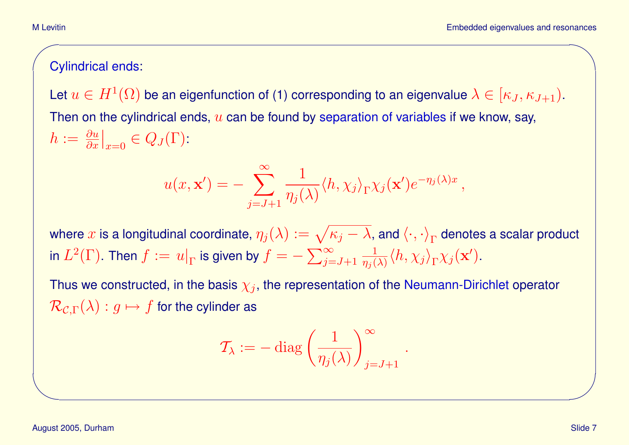# Cylindrical ends:

Let  $u\in H^1(\Omega)$  be an eigenfunction of (1) corresponding to an eigenvalue  $\lambda\in[\kappa_J,\kappa_{J+1})$ . Then on the cylindrical ends,  $u$  can be found by separation of variables if we know, say,  $h:=\frac{\partial u}{\partial x}$  $\overline{\phantom{a}}$  $\big|_{x=0} \in Q_J(\Gamma)$ :

$$
u(x, \mathbf{x}') = -\sum_{j=J+1}^{\infty} \frac{1}{\eta_j(\lambda)} \langle h, \chi_j \rangle_{\Gamma} \chi_j(\mathbf{x}') e^{-\eta_j(\lambda)x},
$$

where  $x$  is a longitudinal coordinate,  $\eta_j(\lambda):=\sqrt{\kappa_j-\lambda}$ , and  $\langle\cdot,\cdot\rangle_\Gamma$  denotes a scalar product in  $L^2(\Gamma).$  Then  $f:=\left.u\right|_\Gamma$  is given by  $f=-\sum_{j=J+1}^\infty$ 1  $\frac{1}{\eta_j(\lambda)}\langle h , \chi_j\rangle_\Gamma \chi_j(\mathbf{x}^\prime).$ 

Thus we constructed, in the basis  $\chi_j$ , the representation of the Neumann-Dirichlet operator  $\mathcal{R}_{\mathcal{C},\Gamma}(\lambda) : g \mapsto f$  for the cylinder as

$$
\mathcal{T}_{\lambda} := - \operatorname{diag} \left( \frac{1}{\eta_j(\lambda)} \right)_{j=J+1}^{\infty}.
$$

✬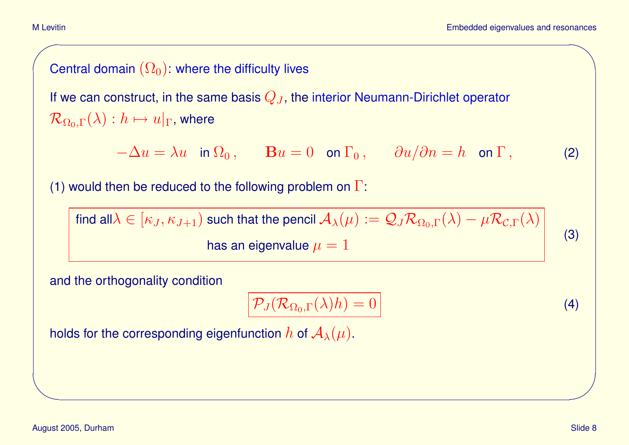M Levitin

# Central domain  $(\Omega_0)$ : where the difficulty lives

If we can construct, in the same basis  $Q_J$ , the interior Neumann-Dirichlet operator  $\mathcal{R}_{\Omega_0,\Gamma}(\lambda) : h \mapsto u|_{\Gamma}$ , where

 $-\Delta u = \lambda u$  in  $\Omega_0$ ,  $\mathbf{B} u = 0$  on  $\Gamma_0$ ,  $\partial u / \partial n = h$  on  $\Gamma$ , (2)

(1) would then be reduced to the following problem on  $\Gamma$ :

find all $\lambda \in [\kappa_J, \kappa_{J+1})$  such that the pencil  $\mathcal{A}_\lambda(\mu) := \mathcal{Q}_J \mathcal{R}_{\Omega_0,\Gamma}(\lambda) - \mu \mathcal{R}_{\mathcal{C},\Gamma}(\lambda)$ has an eigenvalue  $\mu=1$ 

and the orthogonality condition

$$
\mathcal{P}_J(\mathcal{R}_{\Omega_0,\Gamma}(\lambda)h) = 0
$$
\n(4)

(3)

holds for the corresponding eigenfunction h of  $\mathcal{A}_{\lambda}(\mu)$ .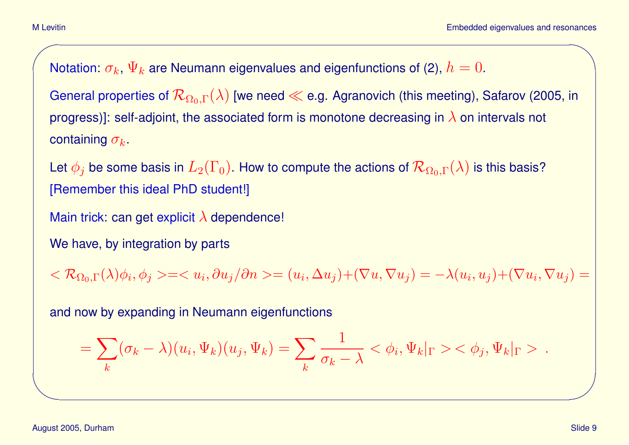Notation:  $\sigma_k$ ,  $\Psi_k$  are Neumann eigenvalues and eigenfunctions of (2),  $h=0.$ 

General properties of  $\mathcal{R}_{\Omega_0,\Gamma}(\lambda)$  [we need  $\ll$  e.g. Agranovich (this meeting), Safarov (2005, in progress)]: self-adjoint, the associated form is monotone decreasing in  $\lambda$  on intervals not containing  $\sigma_k$ .

Let  $\phi_j$  be some basis in  $L_2(\Gamma_0).$  How to compute the actions of  $\mathcal{R}_{\Omega_0,\Gamma}(\lambda)$  is this basis? [Remember this ideal PhD student!]

Main trick: can get explicit  $\lambda$  dependence!

We have, by integration by parts

 $<\mathcal{R}_{\Omega_0,\Gamma}(\lambda)\phi_i, \phi_j>== (u_i,\Delta u_j)+(\nabla u,\nabla u_j)=-\lambda (u_i,u_j)+(\nabla u_i,\nabla u_j)=$ 

and now by expanding in Neumann eigenfunctions

$$
= \sum_k (\sigma_k - \lambda) (u_i, \Psi_k) (u_j, \Psi_k) = \sum_k \frac{1}{\sigma_k - \lambda} <\phi_i, \Psi_k|_{\Gamma} > <\phi_j, \Psi_k|_{\Gamma} >.
$$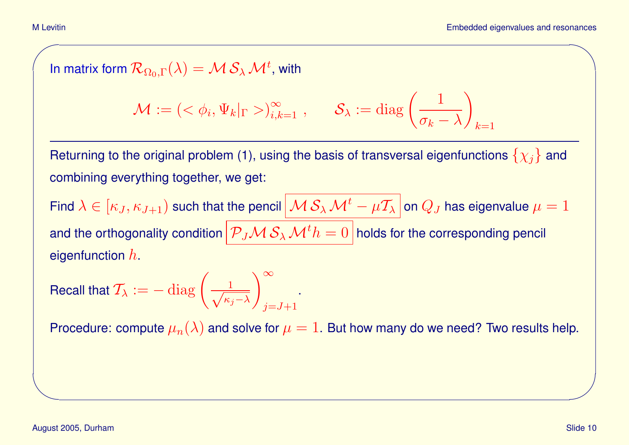In matrix form  $\mathcal{R}_{\Omega_0,\Gamma}(\lambda)=\mathcal{M}\,\mathcal{S}_\lambda\,\mathcal{M}^t$ , with

$$
\mathcal{M} := \left( \langle \phi_i, \Psi_k |_{\Gamma} \rangle \right)_{i,k=1}^{\infty}, \quad \mathcal{S}_{\lambda} := \text{diag}\left( \frac{1}{\sigma_k - \lambda} \right)_{k=1}
$$

Returning to the original problem (1), using the basis of transversal eigenfunctions  $\{\chi_j\}$  and combining everything together, we get:

Find  $\lambda\in[\kappa_J,\kappa_{J+1})$  such that the pencil  $\big|\mathcal{M}\,\mathcal{S}_\lambda\,\mathcal{M}^t-\mu\mathcal{T}_\lambda\,\big|$  on  $Q_J$  has eigenvalue  $\mu=1$ and the orthogonality condition  $\big|\mathcal{P}_J\mathcal{M}\,\mathcal{S}_\lambda\,\mathcal{M}^t h=0\big|$  holds for the corresponding pencil eigenfunction  $h$ .

Recall that 
$$
\mathcal{T}_{\lambda}:=-\operatorname{diag}\left(\frac{1}{\sqrt{\kappa_j-\lambda}}\right)_{j=J+1}^{\infty}
$$
.

Procedure: compute  $\mu_n(\lambda)$  and solve for  $\mu=1$ . But how many do we need? Two results help.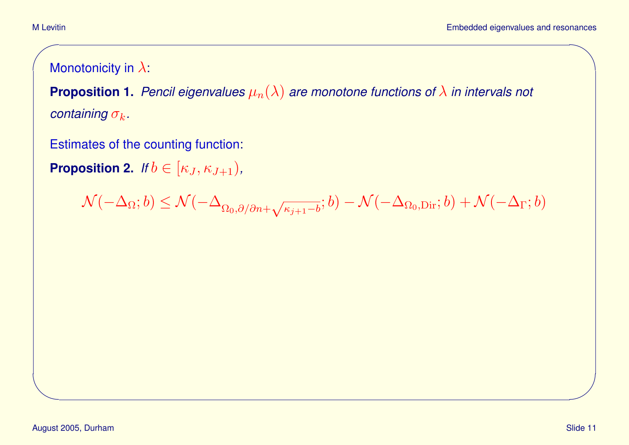Monotonicity in  $\lambda$ :

**Proposition 1.** *Pencil eigenvalues*  $\mu_n(\lambda)$  *are monotone functions of*  $\lambda$  *in intervals not containing*  $\sigma_k$ .

Estimates of the counting function:

**Proposition 2.** *If*  $b \in [\kappa_J, \kappa_{J+1})$ *,* 

 $\mathcal{N}(-\Delta_{\Omega};b) \leq \mathcal{N}(-\Delta_{\Omega_0,\partial/\partial n + \sqrt{\overline{\Omega}}}$  $(\overline{\mathcal{K}_{j+1}-b};b)-\mathcal{N}(-\Delta_{\Omega_0,\text{Dir}};b)+\mathcal{N}(-\Delta_\Gamma;b)$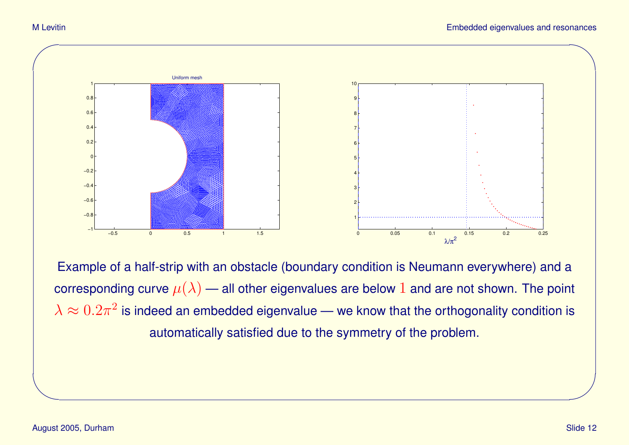

Example of a half-strip with an obstacle (boundary condition is Neumann everywhere) and a corresponding curve  $\mu(\lambda)$  — all other eigenvalues are below 1 and are not shown. The point  $\lambda \approx 0.2 \pi^2$  is indeed an embedded eigenvalue — we know that the orthogonality condition is automatically satisfied due to the symmetry of the problem.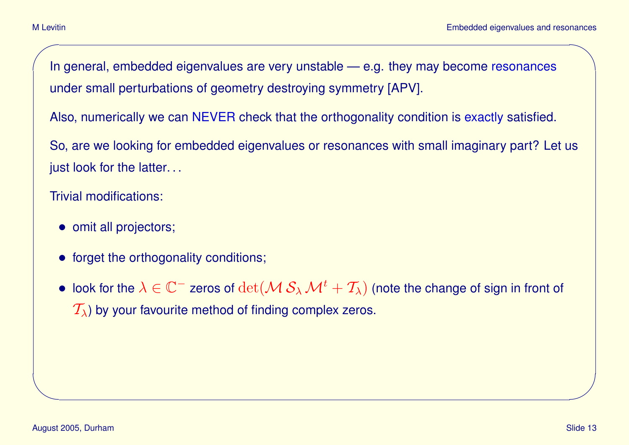In general, embedded eigenvalues are very unstable — e.g. they may become resonances under small perturbations of geometry destroying symmetry [APV].

Also, numerically we can NEVER check that the orthogonality condition is exactly satisfied.

So, are we looking for embedded eigenvalues or resonances with small imaginary part? Let us just look for the latter...

Trivial modifications:

- omit all projectors;
- forget the orthogonality conditions;
- look for the  $\lambda\in\mathbb{C}^+$  zeros of  $\det(\mathcal{M} \, \mathcal{S}_\lambda\, \mathcal{M}^t+\mathcal{T}_\lambda)$  (note the change of sign in front of  $\mathcal{T}_{\lambda}$ ) by your favourite method of finding complex zeros.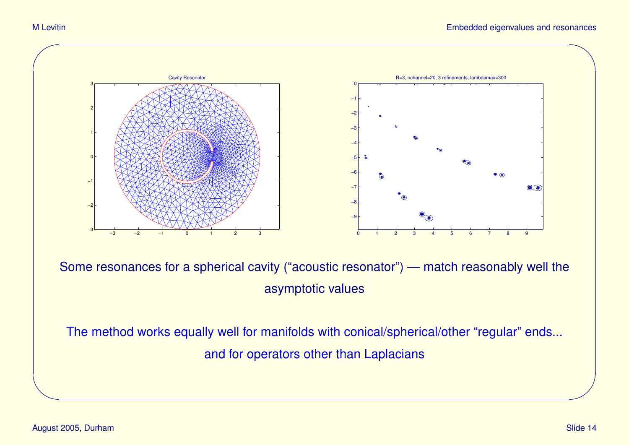

Some resonances for a spherical cavity ("acoustic resonator") — match reasonably well the asymptotic values

The method works equally well for manifolds with conical/spherical/other "regular" ends... and for operators other than Laplacians

✫